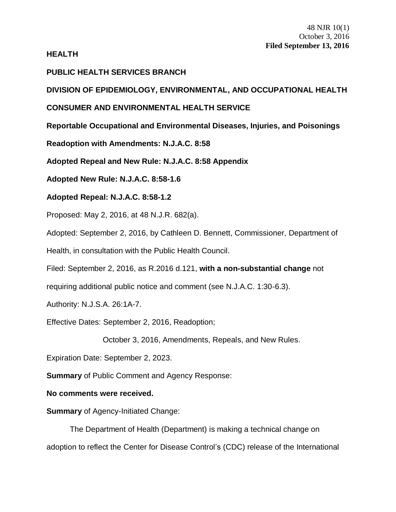#### **HEALTH**

## **PUBLIC HEALTH SERVICES BRANCH**

**DIVISION OF EPIDEMIOLOGY, ENVIRONMENTAL, AND OCCUPATIONAL HEALTH**

# **CONSUMER AND ENVIRONMENTAL HEALTH SERVICE**

**Reportable Occupational and Environmental Diseases, Injuries, and Poisonings**

**Readoption with Amendments: N.J.A.C. 8:58**

**Adopted Repeal and New Rule: N.J.A.C. 8:58 Appendix**

**Adopted New Rule: N.J.A.C. 8:58-1.6**

# **Adopted Repeal: N.J.A.C. 8:58-1.2**

Proposed: May 2, 2016, at 48 N.J.R. 682(a).

Adopted: September 2, 2016, by Cathleen D. Bennett, Commissioner, Department of

Health, in consultation with the Public Health Council.

Filed: September 2, 2016, as R.2016 d.121, **with a non-substantial change** not

requiring additional public notice and comment (see N.J.A.C. 1:30-6.3).

Authority: N.J.S.A. 26:1A-7.

Effective Dates: September 2, 2016, Readoption;

October 3, 2016, Amendments, Repeals, and New Rules.

Expiration Date: September 2, 2023.

**Summary** of Public Comment and Agency Response:

### **No comments were received.**

**Summary** of Agency-Initiated Change:

The Department of Health (Department) is making a technical change on adoption to reflect the Center for Disease Control's (CDC) release of the International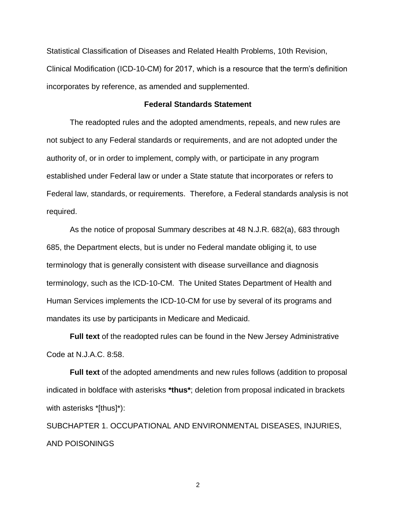Statistical Classification of Diseases and Related Health Problems, 10th Revision, Clinical Modification (ICD-10-CM) for 2017, which is a resource that the term's definition incorporates by reference, as amended and supplemented.

#### **Federal Standards Statement**

The readopted rules and the adopted amendments, repeals, and new rules are not subject to any Federal standards or requirements, and are not adopted under the authority of, or in order to implement, comply with, or participate in any program established under Federal law or under a State statute that incorporates or refers to Federal law, standards, or requirements. Therefore, a Federal standards analysis is not required.

As the notice of proposal Summary describes at 48 N.J.R. 682(a), 683 through 685, the Department elects, but is under no Federal mandate obliging it, to use terminology that is generally consistent with disease surveillance and diagnosis terminology, such as the ICD-10-CM. The United States Department of Health and Human Services implements the ICD-10-CM for use by several of its programs and mandates its use by participants in Medicare and Medicaid.

**Full text** of the readopted rules can be found in the New Jersey Administrative Code at N.J.A.C. 8:58.

**Full text** of the adopted amendments and new rules follows (addition to proposal indicated in boldface with asterisks **\*thus\***; deletion from proposal indicated in brackets with asterisks \*[thus]\*):

SUBCHAPTER 1. OCCUPATIONAL AND ENVIRONMENTAL DISEASES, INJURIES, AND POISONINGS

2